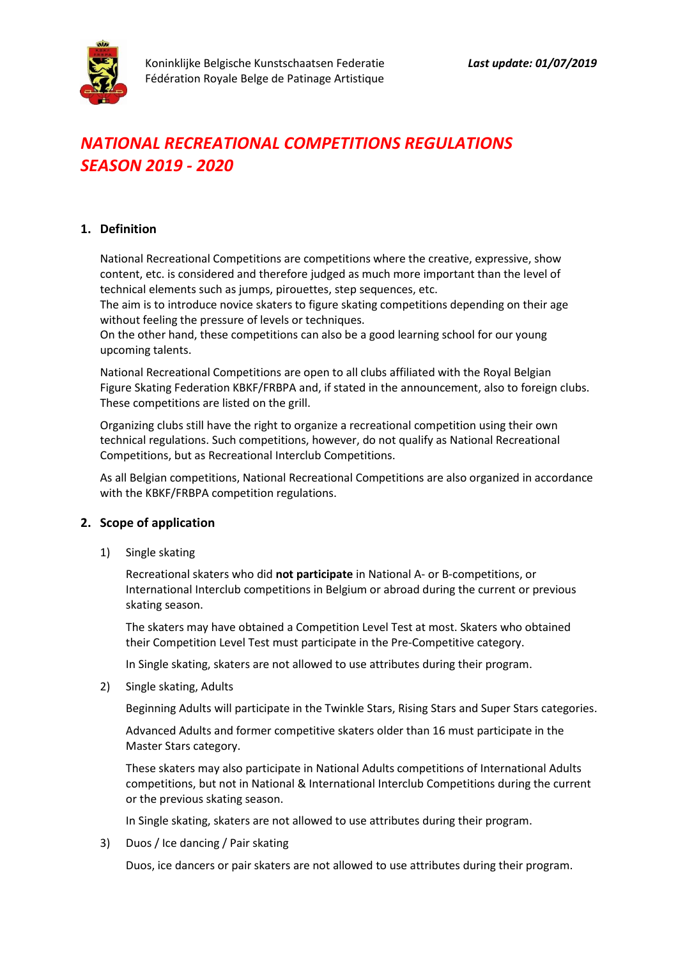# *NATIONAL RECREATIONAL COMPETITIONS REGULATIONS SEASON 2019 - 2020*

## **1. Definition**

National Recreational Competitions are competitions where the creative, expressive, show content, etc. is considered and therefore judged as much more important than the level of technical elements such as jumps, pirouettes, step sequences, etc.

The aim is to introduce novice skaters to figure skating competitions depending on their age without feeling the pressure of levels or techniques.

On the other hand, these competitions can also be a good learning school for our young upcoming talents.

National Recreational Competitions are open to all clubs affiliated with the Royal Belgian Figure Skating Federation KBKF/FRBPA and, if stated in the announcement, also to foreign clubs. These competitions are listed on the grill.

Organizing clubs still have the right to organize a recreational competition using their own technical regulations. Such competitions, however, do not qualify as National Recreational Competitions, but as Recreational Interclub Competitions.

As all Belgian competitions, National Recreational Competitions are also organized in accordance with the KBKF/FRBPA competition regulations.

## **2. Scope of application**

1) Single skating

Recreational skaters who did **not participate** in National A- or B-competitions, or International Interclub competitions in Belgium or abroad during the current or previous skating season.

The skaters may have obtained a Competition Level Test at most. Skaters who obtained their Competition Level Test must participate in the Pre-Competitive category.

In Single skating, skaters are not allowed to use attributes during their program.

2) Single skating, Adults

Beginning Adults will participate in the Twinkle Stars, Rising Stars and Super Stars categories.

Advanced Adults and former competitive skaters older than 16 must participate in the Master Stars category.

These skaters may also participate in National Adults competitions of International Adults competitions, but not in National & International Interclub Competitions during the current or the previous skating season.

In Single skating, skaters are not allowed to use attributes during their program.

3) Duos / Ice dancing / Pair skating

Duos, ice dancers or pair skaters are not allowed to use attributes during their program.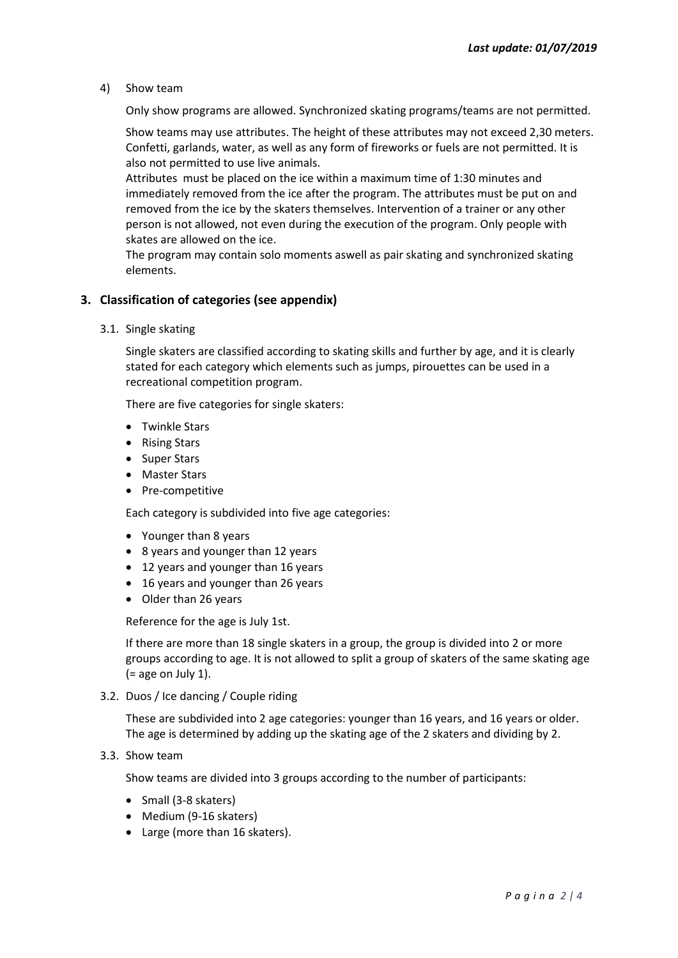4) Show team

Only show programs are allowed. Synchronized skating programs/teams are not permitted.

Show teams may use attributes. The height of these attributes may not exceed 2,30 meters. Confetti, garlands, water, as well as any form of fireworks or fuels are not permitted. It is also not permitted to use live animals.

Attributes must be placed on the ice within a maximum time of 1:30 minutes and immediately removed from the ice after the program. The attributes must be put on and removed from the ice by the skaters themselves. Intervention of a trainer or any other person is not allowed, not even during the execution of the program. Only people with skates are allowed on the ice.

The program may contain solo moments aswell as pair skating and synchronized skating elements.

## **3. Classification of categories (see appendix)**

3.1. Single skating

Single skaters are classified according to skating skills and further by age, and it is clearly stated for each category which elements such as jumps, pirouettes can be used in a recreational competition program.

There are five categories for single skaters:

- Twinkle Stars
- Rising Stars
- Super Stars
- Master Stars
- Pre-competitive

Each category is subdivided into five age categories:

- Younger than 8 years
- 8 years and younger than 12 years
- 12 years and younger than 16 years
- 16 years and younger than 26 years
- Older than 26 years

Reference for the age is July 1st.

If there are more than 18 single skaters in a group, the group is divided into 2 or more groups according to age. It is not allowed to split a group of skaters of the same skating age  $(=$  age on July 1).

3.2. Duos / Ice dancing / Couple riding

These are subdivided into 2 age categories: younger than 16 years, and 16 years or older. The age is determined by adding up the skating age of the 2 skaters and dividing by 2.

3.3. Show team

Show teams are divided into 3 groups according to the number of participants:

- Small (3-8 skaters)
- Medium (9-16 skaters)
- Large (more than 16 skaters).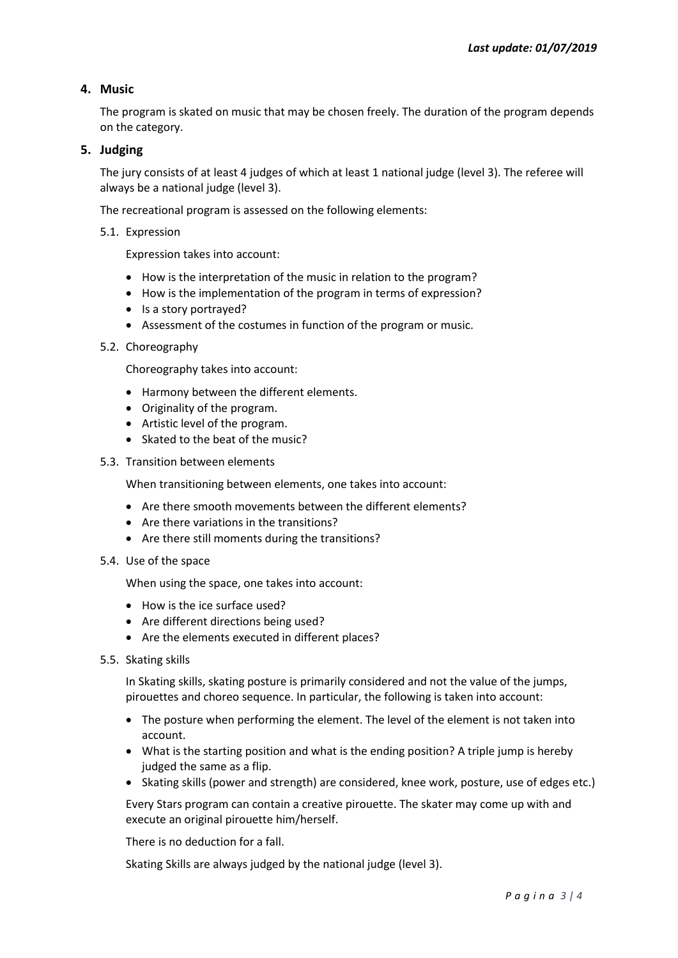## **4. Music**

The program is skated on music that may be chosen freely. The duration of the program depends on the category.

## **5. Judging**

The jury consists of at least 4 judges of which at least 1 national judge (level 3). The referee will always be a national judge (level 3).

The recreational program is assessed on the following elements:

5.1. Expression

Expression takes into account:

- How is the interpretation of the music in relation to the program?
- How is the implementation of the program in terms of expression?
- Is a story portrayed?
- Assessment of the costumes in function of the program or music.
- 5.2. Choreography

Choreography takes into account:

- Harmony between the different elements.
- Originality of the program.
- Artistic level of the program.
- Skated to the beat of the music?
- 5.3. Transition between elements

When transitioning between elements, one takes into account:

- Are there smooth movements between the different elements?
- Are there variations in the transitions?
- Are there still moments during the transitions?
- 5.4. Use of the space

When using the space, one takes into account:

- How is the ice surface used?
- Are different directions being used?
- Are the elements executed in different places?
- 5.5. Skating skills

In Skating skills, skating posture is primarily considered and not the value of the jumps, pirouettes and choreo sequence. In particular, the following is taken into account:

- The posture when performing the element. The level of the element is not taken into account.
- What is the starting position and what is the ending position? A triple jump is hereby judged the same as a flip.
- Skating skills (power and strength) are considered, knee work, posture, use of edges etc.)

Every Stars program can contain a creative pirouette. The skater may come up with and execute an original pirouette him/herself.

There is no deduction for a fall.

Skating Skills are always judged by the national judge (level 3).